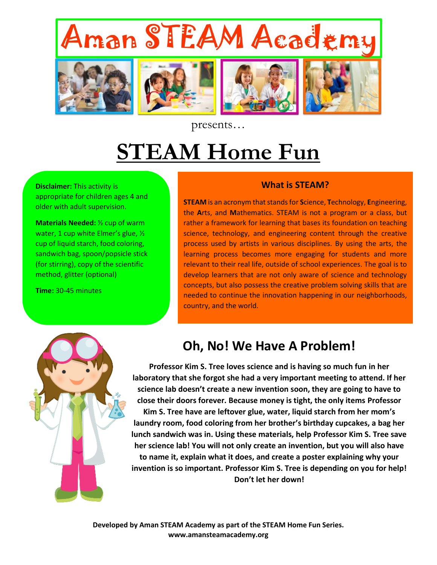

presents…

## **STEAM Home Fun**

**Disclaimer:** This activity is appropriate for children ages 4 and older with adult supervision.

**Materials Needed:** ½ cup of warm water, 1 cup white Elmer's glue, ½ cup of liquid starch, food coloring, sandwich bag, spoon/popsicle stick (for stirring), copy of the scientific method, glitter (optional)

**Time:** 30-45 minutes

## **What is STEAM?**

**STEAM** is an acronym that stands for **S**cience, **T**echnology, **E**ngineering, the **A**rts, and **M**athematics. STEAM is not a program or a class, but rather a framework for learning that bases its foundation on teaching science, technology, and engineering content through the creative process used by artists in various disciplines. By using the arts, the learning process becomes more engaging for students and more relevant to their real life, outside of school experiences. The goal is to develop learners that are not only aware of science and technology concepts, but also possess the creative problem solving skills that are needed to continue the innovation happening in our neighborhoods, country, and the world.



## **Oh, No! We Have A Problem!**

**Professor Kim S. Tree loves science and is having so much fun in her laboratory that she forgot she had a very important meeting to attend. If her science lab doesn't create a new invention soon, they are going to have to close their doors forever. Because money is tight, the only items Professor Kim S. Tree have are leftover glue, water, liquid starch from her mom's laundry room, food coloring from her brother's birthday cupcakes, a bag her lunch sandwich was in. Using these materials, help Professor Kim S. Tree save her science lab! You will not only create an invention, but you will also have to name it, explain what it does, and create a poster explaining why your invention is so important. Professor Kim S. Tree is depending on you for help! Don't let her down!**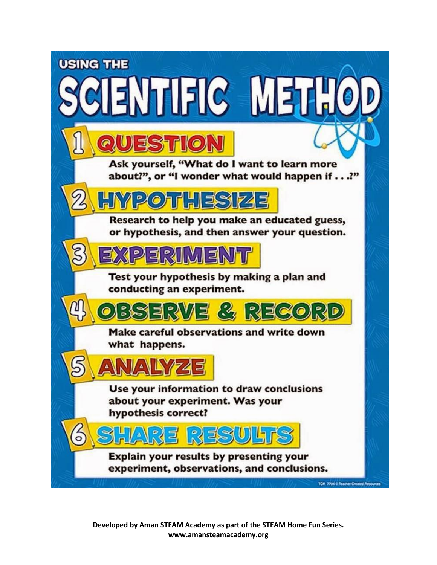

**Developed by Aman STEAM Academy as part of the STEAM Home Fun Series. www.amansteamacademy.org**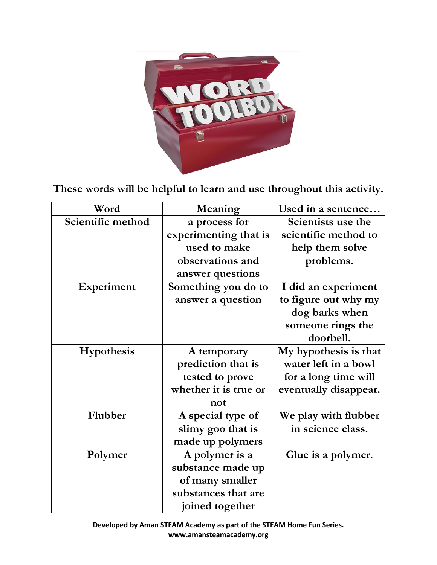

**These words will be helpful to learn and use throughout this activity.**

| Word              | Meaning               | Used in a sentence    |
|-------------------|-----------------------|-----------------------|
| Scientific method | a process for         | Scientists use the    |
|                   | experimenting that is | scientific method to  |
|                   | used to make          | help them solve       |
|                   | observations and      | problems.             |
|                   | answer questions      |                       |
| Experiment        | Something you do to   | I did an experiment   |
|                   | answer a question     | to figure out why my  |
|                   |                       | dog barks when        |
|                   |                       | someone rings the     |
|                   |                       | doorbell.             |
| Hypothesis        | A temporary           | My hypothesis is that |
|                   | prediction that is    | water left in a bowl  |
|                   | tested to prove       | for a long time will  |
|                   | whether it is true or | eventually disappear. |
|                   | not                   |                       |
| Flubber           | A special type of     | We play with flubber  |
|                   | slimy goo that is     | in science class.     |
|                   | made up polymers      |                       |
| Polymer           | A polymer is a        | Glue is a polymer.    |
|                   | substance made up     |                       |
|                   | of many smaller       |                       |
|                   | substances that are   |                       |
|                   | joined together       |                       |

**Developed by Aman STEAM Academy as part of the STEAM Home Fun Series. www.amansteamacademy.org**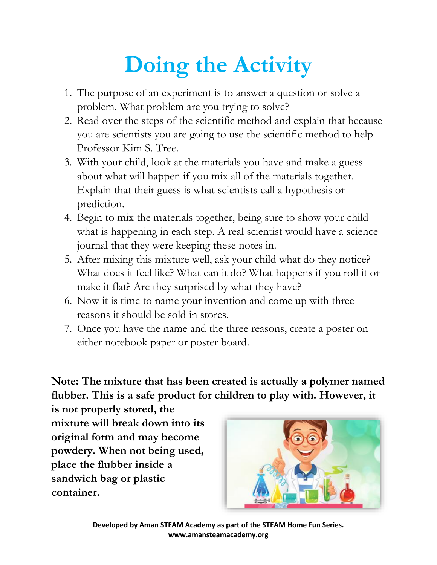## **Doing the Activity**

- 1. The purpose of an experiment is to answer a question or solve a problem. What problem are you trying to solve?
- 2. Read over the steps of the scientific method and explain that because you are scientists you are going to use the scientific method to help Professor Kim S. Tree.
- 3. With your child, look at the materials you have and make a guess about what will happen if you mix all of the materials together. Explain that their guess is what scientists call a hypothesis or prediction.
- 4. Begin to mix the materials together, being sure to show your child what is happening in each step. A real scientist would have a science journal that they were keeping these notes in.
- 5. After mixing this mixture well, ask your child what do they notice? What does it feel like? What can it do? What happens if you roll it or make it flat? Are they surprised by what they have?
- 6. Now it is time to name your invention and come up with three reasons it should be sold in stores.
- 7. Once you have the name and the three reasons, create a poster on either notebook paper or poster board.

**Note: The mixture that has been created is actually a polymer named flubber. This is a safe product for children to play with. However, it** 

**is not properly stored, the mixture will break down into its original form and may become powdery. When not being used, place the flubber inside a sandwich bag or plastic container.** 



**Developed by Aman STEAM Academy as part of the STEAM Home Fun Series. www.amansteamacademy.org**